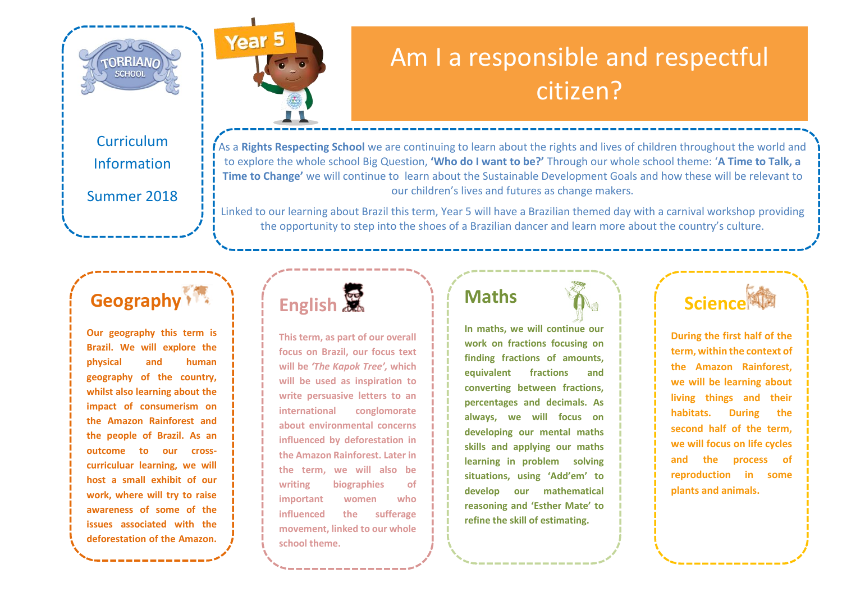



### Am I a responsible and respectful citizen?

Curriculum Information

Summer 2018

As a **Rights Respecting School** we are continuing to learn about the rights and lives of children throughout the world and to explore the whole school Big Question, **'Who do I want to be?'** Through our whole school theme: '**A Time to Talk, a Time to Change'** we will continue to learn about the Sustainable Development Goals and how these will be relevant to our children's lives and futures as change makers.

Linked to our learning about Brazil this term, Year 5 will have a Brazilian themed day with a carnival workshop providing the opportunity to step into the shoes of a Brazilian dancer and learn more about the country's culture.

### **Geography**

**Our geography this term is Brazil. We will explore the physical and human geography of the country, whilst also learning about the impact of consumerism on the Amazon Rainforest and the people of Brazil. As an outcome to our crosscurriculuar learning, we will host a small exhibit of our work, where will try to raise awareness of some of the issues associated with the deforestation of the Amazon.**

**Rainforest.**

## **English**

**This term, as part of our overall focus on Brazil, our focus text will be** *'The Kapok Tree',* **which will be used as inspiration to write persuasive letters to an international conglomorate about environmental concerns influenced by deforestation in the Amazon Rainforest. Later in the term, we will also be writing biographies of important women who influenced the sufferage movement, linked to our whole school theme.**

#### **Maths**

**In maths, we will continue our work on fractions focusing on finding fractions of amounts, equivalent fractions and converting between fractions, percentages and decimals. As always, we will focus on developing our mental maths skills and applying our maths learning in problem solving situations, using 'Add'em' to develop our mathematical reasoning and 'Esther Mate' to refine the skill of estimating.** 

### **Science<sup>閣楼</sup>**

**During the first half of the term, within the context of the Amazon Rainforest, we will be learning about living things and their habitats. During the second half of the term, we will focus on life cycles and the process of reproduction in some plants and animals.**